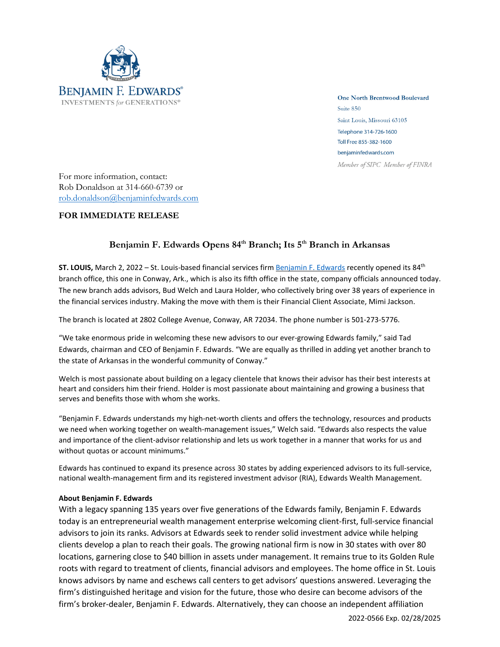

**One North Brentwood Boulevard** Suite 850 Saint Louis, Missouri 63105 Telephone 314-726-1600 Toll Free 855-382-1600 benjaminfedwards.com Member of SIPC Member of FINRA

For more information, contact: Rob Donaldson at 314-660-6739 or [rob.donaldson@benjaminfedwards.com](mailto:rob.donaldson@benjaminfedwards.com)

## **FOR IMMEDIATE RELEASE**

## **Benjamin F. Edwards Opens 84 th Branch; Its 5 th Branch in Arkansas**

**ST. LOUIS,** March 2, 2022 – St. Louis-based financial services firm [Benjamin](https://benjaminfedwards.com/) F. Edwards recently opened its 84th branch office, this one in Conway, Ark., which is also its fifth office in the state, company officials announced today. The new branch adds advisors, Bud Welch and Laura Holder, who collectively bring over 38 years of experience in the financial services industry. Making the move with them is their Financial Client Associate, Mimi Jackson.

The branch is located at 2802 College Avenue, Conway, AR 72034. The phone number is 501-273-5776.

"We take enormous pride in welcoming these new advisors to our ever-growing Edwards family," said Tad Edwards, chairman and CEO of Benjamin F. Edwards. "We are equally as thrilled in adding yet another branch to the state of Arkansas in the wonderful community of Conway."

Welch is most passionate about building on a legacy clientele that knows their advisor has their best interests at heart and considers him their friend. Holder is most passionate about maintaining and growing a business that serves and benefits those with whom she works.

"Benjamin F. Edwards understands my high-net-worth clients and offers the technology, resources and products we need when working together on wealth-management issues," Welch said. "Edwards also respects the value and importance of the client-advisor relationship and lets us work together in a manner that works for us and without quotas or account minimums."

Edwards has continued to expand its presence across 30 states by adding experienced advisors to its full-service, national wealth-management firm and its registered investment advisor (RIA), Edwards Wealth Management.

## **About Benjamin F. Edwards**

With a legacy spanning 135 years over five generations of the Edwards family, Benjamin F. Edwards today is an entrepreneurial wealth management enterprise welcoming client-first, full-service financial advisors to join its ranks. Advisors at Edwards seek to render solid investment advice while helping clients develop a plan to reach their goals. The growing national firm is now in 30 states with over 80 locations, garnering close to \$40 billion in assets under management. It remains true to its Golden Rule roots with regard to treatment of clients, financial advisors and employees. The home office in St. Louis knows advisors by name and eschews call centers to get advisors' questions answered. Leveraging the firm's distinguished heritage and vision for the future, those who desire can become advisors of the firm's broker-dealer, Benjamin F. Edwards. Alternatively, they can choose an independent affiliation